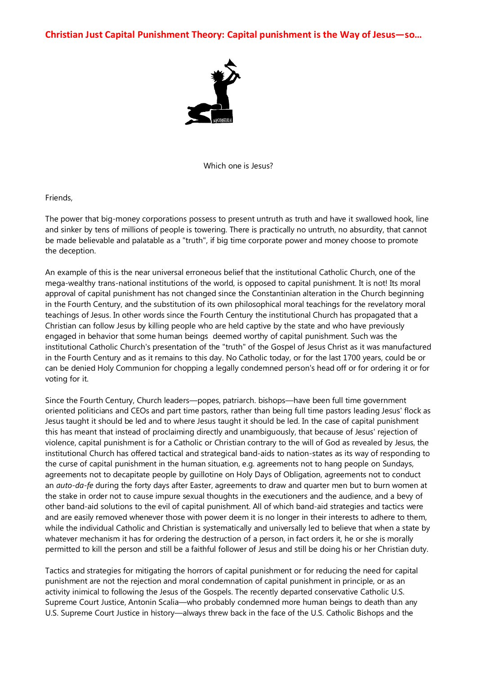**Christian Just Capital Punishment Theory: Capital punishment is the Way of Jesus—so…**



Which one is Jesus?

Friends,

The power that big-money corporations possess to present untruth as truth and have it swallowed hook, line and sinker by tens of millions of people is towering. There is practically no untruth, no absurdity, that cannot be made believable and palatable as a "truth", if big time corporate power and money choose to promote the deception.

An example of this is the near universal erroneous belief that the institutional Catholic Church, one of the mega-wealthy trans-national institutions of the world, is opposed to capital punishment. It is not! Its moral approval of capital punishment has not changed since the Constantinian alteration in the Church beginning in the Fourth Century, and the substitution of its own philosophical moral teachings for the revelatory moral teachings of Jesus. In other words since the Fourth Century the institutional Church has propagated that a Christian can follow Jesus by killing people who are held captive by the state and who have previously engaged in behavior that some human beings deemed worthy of capital punishment. Such was the institutional Catholic Church's presentation of the "truth" of the Gospel of Jesus Christ as it was manufactured in the Fourth Century and as it remains to this day. No Catholic today, or for the last 1700 years, could be or can be denied Holy Communion for chopping a legally condemned person's head off or for ordering it or for voting for it.

Since the Fourth Century, Church leaders—popes, patriarch. bishops—have been full time government oriented politicians and CEOs and part time pastors, rather than being full time pastors leading Jesus' flock as Jesus taught it should be led and to where Jesus taught it should be led. In the case of capital punishment this has meant that instead of proclaiming directly and unambiguously, that because of Jesus' rejection of violence, capital punishment is for a Catholic or Christian contrary to the will of God as revealed by Jesus, the institutional Church has offered tactical and strategical band-aids to nation-states as its way of responding to the curse of capital punishment in the human situation, e.g. agreements not to hang people on Sundays, agreements not to decapitate people by guillotine on Holy Days of Obligation, agreements not to conduct an *auto-da-fe* during the forty days after Easter, agreements to draw and quarter men but to burn women at the stake in order not to cause impure sexual thoughts in the executioners and the audience, and a bevy of other band-aid solutions to the evil of capital punishment. All of which band-aid strategies and tactics were and are easily removed whenever those with power deem it is no longer in their interests to adhere to them, while the individual Catholic and Christian is systematically and universally led to believe that when a state by whatever mechanism it has for ordering the destruction of a person, in fact orders it, he or she is morally permitted to kill the person and still be a faithful follower of Jesus and still be doing his or her Christian duty.

Tactics and strategies for mitigating the horrors of capital punishment or for reducing the need for capital punishment are not the rejection and moral condemnation of capital punishment in principle, or as an activity inimical to following the Jesus of the Gospels. The recently departed conservative Catholic U.S. Supreme Court Justice, Antonin Scalia—who probably condemned more human beings to death than any U.S. Supreme Court Justice in history—always threw back in the face of the U.S. Catholic Bishops and the